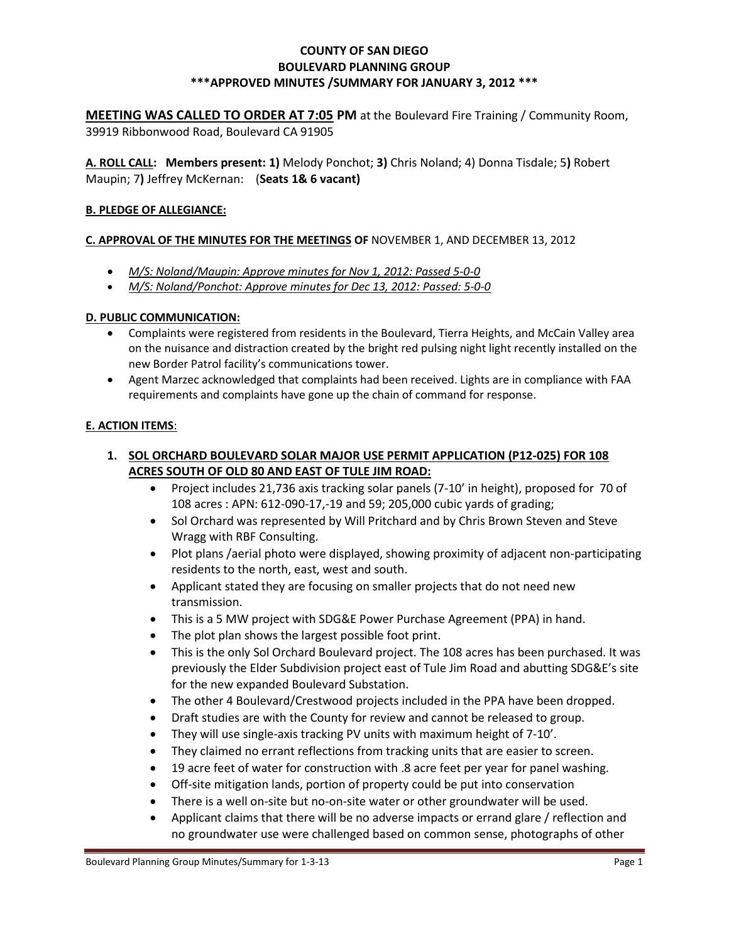### **COUNTY OF SAN DIEGO BOULEVARD PLANNING GROUP \*\*\*APPROVED MINUTES /SUMMARY FOR JANUARY 3, 2012 \*\*\***

**MEETING WAS CALLED TO ORDER AT 7:05 PM** at the Boulevard Fire Training / Community Room, 39919 Ribbonwood Road, Boulevard CA 91905

**A. ROLL CALL: Members present: 1)** Melody Ponchot; **3)** Chris Noland; 4) Donna Tisdale; 5**)** Robert Maupin; 7**)** Jeffrey McKernan: (**Seats 1& 6 vacant)**

### **B. PLEDGE OF ALLEGIANCE:**

#### **C. APPROVAL OF THE MINUTES FOR THE MEETINGS OF** NOVEMBER 1, AND DECEMBER 13, 2012

- *M/S: Noland/Maupin: Approve minutes for Nov 1, 2012: Passed 5-0-0*
- *M/S: Noland/Ponchot: Approve minutes for Dec 13, 2012: Passed: 5-0-0*

#### **D. PUBLIC COMMUNICATION:**

- Complaints were registered from residents in the Boulevard, Tierra Heights, and McCain Valley area on the nuisance and distraction created by the bright red pulsing night light recently installed on the new Border Patrol facility's communications tower.
- Agent Marzec acknowledged that complaints had been received. Lights are in compliance with FAA requirements and complaints have gone up the chain of command for response.

### **E. ACTION ITEMS**:

### **1. SOL ORCHARD BOULEVARD SOLAR MAJOR USE PERMIT APPLICATION (P12-025) FOR 108 ACRES SOUTH OF OLD 80 AND EAST OF TULE JIM ROAD:**

- Project includes 21,736 axis tracking solar panels (7-10' in height), proposed for 70 of 108 acres : APN: 612-090-17,-19 and 59; 205,000 cubic yards of grading;
- Sol Orchard was represented by Will Pritchard and by Chris Brown Steven and Steve Wragg with RBF Consulting.
- Plot plans /aerial photo were displayed, showing proximity of adjacent non-participating residents to the north, east, west and south.
- Applicant stated they are focusing on smaller projects that do not need new transmission.
- This is a 5 MW project with SDG&E Power Purchase Agreement (PPA) in hand.
- The plot plan shows the largest possible foot print.
- This is the only Sol Orchard Boulevard project. The 108 acres has been purchased. It was previously the Elder Subdivision project east of Tule Jim Road and abutting SDG&E's site for the new expanded Boulevard Substation.
- The other 4 Boulevard/Crestwood projects included in the PPA have been dropped.
- Draft studies are with the County for review and cannot be released to group.
- They will use single-axis tracking PV units with maximum height of 7-10'.
- They claimed no errant reflections from tracking units that are easier to screen.
- 19 acre feet of water for construction with .8 acre feet per year for panel washing.
- Off-site mitigation lands, portion of property could be put into conservation
- There is a well on-site but no-on-site water or other groundwater will be used.
- Applicant claims that there will be no adverse impacts or errand glare / reflection and no groundwater use were challenged based on common sense, photographs of other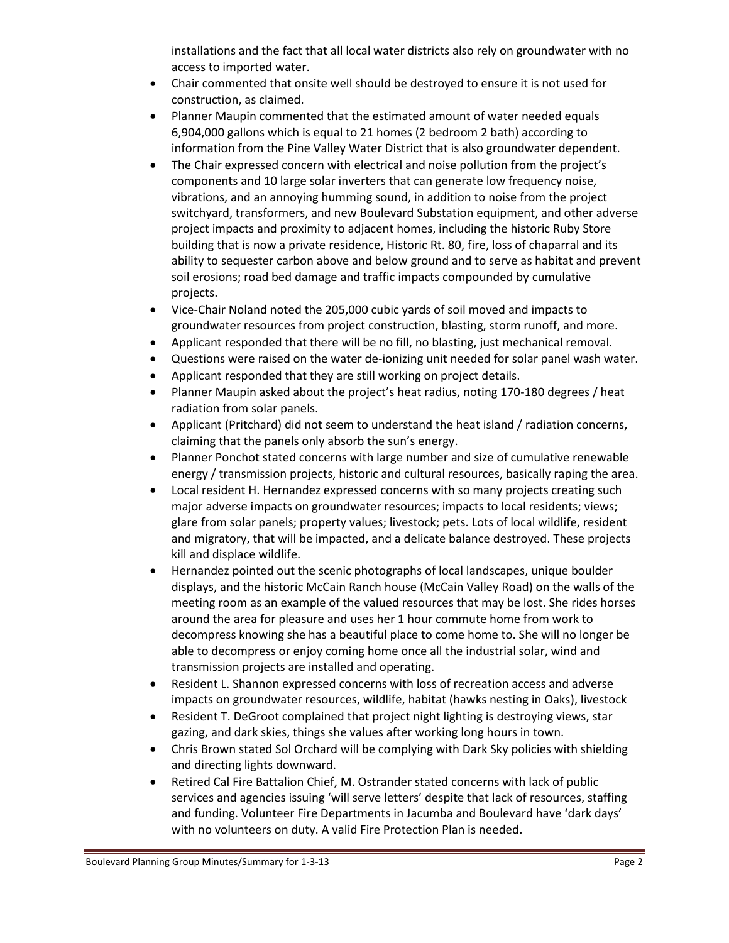installations and the fact that all local water districts also rely on groundwater with no access to imported water.

- Chair commented that onsite well should be destroyed to ensure it is not used for construction, as claimed.
- Planner Maupin commented that the estimated amount of water needed equals 6,904,000 gallons which is equal to 21 homes (2 bedroom 2 bath) according to information from the Pine Valley Water District that is also groundwater dependent.
- The Chair expressed concern with electrical and noise pollution from the project's components and 10 large solar inverters that can generate low frequency noise, vibrations, and an annoying humming sound, in addition to noise from the project switchyard, transformers, and new Boulevard Substation equipment, and other adverse project impacts and proximity to adjacent homes, including the historic Ruby Store building that is now a private residence, Historic Rt. 80, fire, loss of chaparral and its ability to sequester carbon above and below ground and to serve as habitat and prevent soil erosions; road bed damage and traffic impacts compounded by cumulative projects.
- Vice-Chair Noland noted the 205,000 cubic yards of soil moved and impacts to groundwater resources from project construction, blasting, storm runoff, and more.
- Applicant responded that there will be no fill, no blasting, just mechanical removal.
- Questions were raised on the water de-ionizing unit needed for solar panel wash water.
- Applicant responded that they are still working on project details.
- Planner Maupin asked about the project's heat radius, noting 170-180 degrees / heat radiation from solar panels.
- Applicant (Pritchard) did not seem to understand the heat island / radiation concerns, claiming that the panels only absorb the sun's energy.
- Planner Ponchot stated concerns with large number and size of cumulative renewable energy / transmission projects, historic and cultural resources, basically raping the area.
- Local resident H. Hernandez expressed concerns with so many projects creating such major adverse impacts on groundwater resources; impacts to local residents; views; glare from solar panels; property values; livestock; pets. Lots of local wildlife, resident and migratory, that will be impacted, and a delicate balance destroyed. These projects kill and displace wildlife.
- Hernandez pointed out the scenic photographs of local landscapes, unique boulder displays, and the historic McCain Ranch house (McCain Valley Road) on the walls of the meeting room as an example of the valued resources that may be lost. She rides horses around the area for pleasure and uses her 1 hour commute home from work to decompress knowing she has a beautiful place to come home to. She will no longer be able to decompress or enjoy coming home once all the industrial solar, wind and transmission projects are installed and operating.
- Resident L. Shannon expressed concerns with loss of recreation access and adverse impacts on groundwater resources, wildlife, habitat (hawks nesting in Oaks), livestock
- Resident T. DeGroot complained that project night lighting is destroying views, star gazing, and dark skies, things she values after working long hours in town.
- Chris Brown stated Sol Orchard will be complying with Dark Sky policies with shielding and directing lights downward.
- Retired Cal Fire Battalion Chief, M. Ostrander stated concerns with lack of public services and agencies issuing 'will serve letters' despite that lack of resources, staffing and funding. Volunteer Fire Departments in Jacumba and Boulevard have 'dark days' with no volunteers on duty. A valid Fire Protection Plan is needed.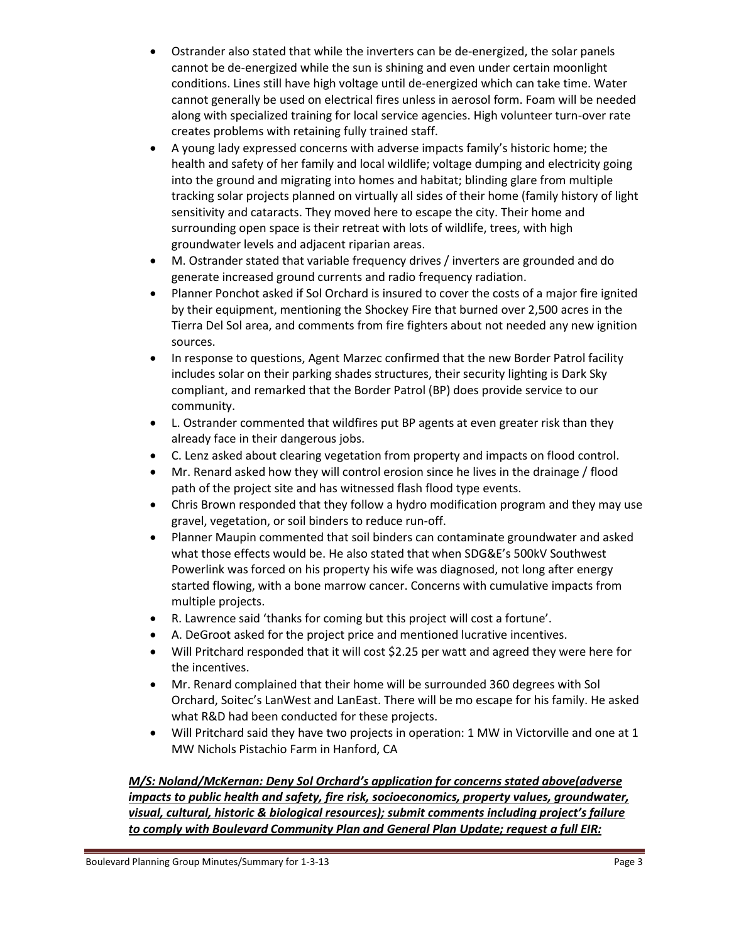- Ostrander also stated that while the inverters can be de-energized, the solar panels cannot be de-energized while the sun is shining and even under certain moonlight conditions. Lines still have high voltage until de-energized which can take time. Water cannot generally be used on electrical fires unless in aerosol form. Foam will be needed along with specialized training for local service agencies. High volunteer turn-over rate creates problems with retaining fully trained staff.
- A young lady expressed concerns with adverse impacts family's historic home; the health and safety of her family and local wildlife; voltage dumping and electricity going into the ground and migrating into homes and habitat; blinding glare from multiple tracking solar projects planned on virtually all sides of their home (family history of light sensitivity and cataracts. They moved here to escape the city. Their home and surrounding open space is their retreat with lots of wildlife, trees, with high groundwater levels and adjacent riparian areas.
- M. Ostrander stated that variable frequency drives / inverters are grounded and do generate increased ground currents and radio frequency radiation.
- Planner Ponchot asked if Sol Orchard is insured to cover the costs of a major fire ignited by their equipment, mentioning the Shockey Fire that burned over 2,500 acres in the Tierra Del Sol area, and comments from fire fighters about not needed any new ignition sources.
- In response to questions, Agent Marzec confirmed that the new Border Patrol facility includes solar on their parking shades structures, their security lighting is Dark Sky compliant, and remarked that the Border Patrol (BP) does provide service to our community.
- L. Ostrander commented that wildfires put BP agents at even greater risk than they already face in their dangerous jobs.
- C. Lenz asked about clearing vegetation from property and impacts on flood control.
- Mr. Renard asked how they will control erosion since he lives in the drainage / flood path of the project site and has witnessed flash flood type events.
- Chris Brown responded that they follow a hydro modification program and they may use gravel, vegetation, or soil binders to reduce run-off.
- Planner Maupin commented that soil binders can contaminate groundwater and asked what those effects would be. He also stated that when SDG&E's 500kV Southwest Powerlink was forced on his property his wife was diagnosed, not long after energy started flowing, with a bone marrow cancer. Concerns with cumulative impacts from multiple projects.
- R. Lawrence said 'thanks for coming but this project will cost a fortune'.
- A. DeGroot asked for the project price and mentioned lucrative incentives.
- Will Pritchard responded that it will cost \$2.25 per watt and agreed they were here for the incentives.
- Mr. Renard complained that their home will be surrounded 360 degrees with Sol Orchard, Soitec's LanWest and LanEast. There will be mo escape for his family. He asked what R&D had been conducted for these projects.
- Will Pritchard said they have two projects in operation: 1 MW in Victorville and one at 1 MW Nichols Pistachio Farm in Hanford, CA

# *M/S: Noland/McKernan: Deny Sol Orchard's application for concerns stated above(adverse impacts to public health and safety, fire risk, socioeconomics, property values, groundwater, visual, cultural, historic & biological resources); submit comments including project's failure to comply with Boulevard Community Plan and General Plan Update; request a full EIR:*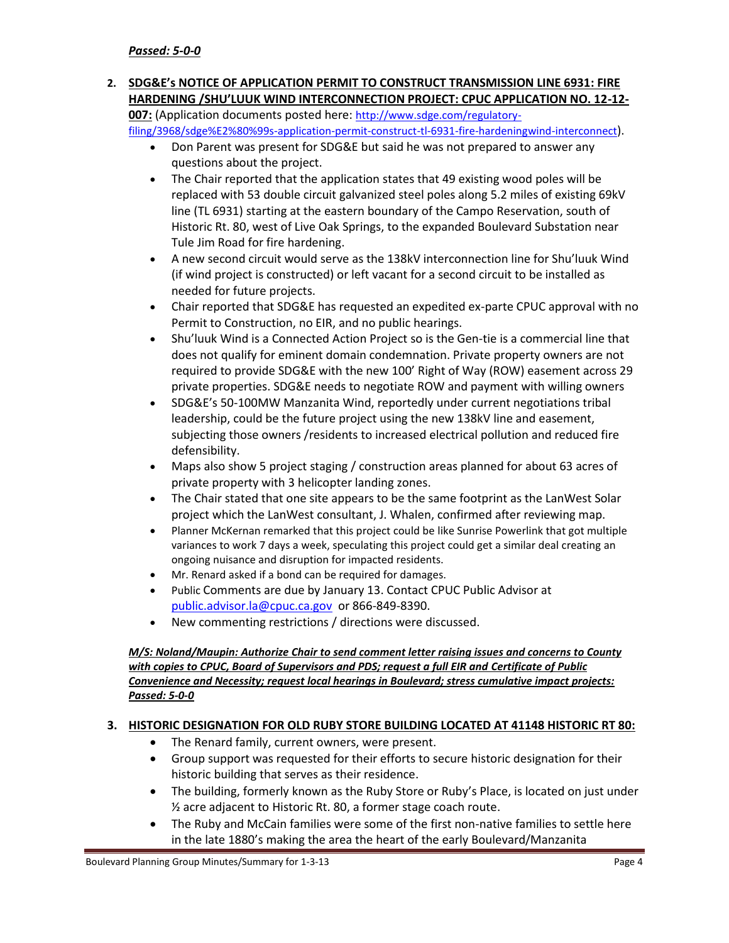### **2. SDG&E's NOTICE OF APPLICATION PERMIT TO CONSTRUCT TRANSMISSION LINE 6931: FIRE HARDENING /SHU'LUUK WIND INTERCONNECTION PROJECT: CPUC APPLICATION NO. 12-12- 007:** (Application documents posted here: [http://www.sdge.com/regulatory-](http://www.sdge.com/regulatory-filing/3968/sdge%E2%80%99s-application-permit-construct-tl-6931-fire-hardeningwind-interconnect)

[filing/3968/sdge%E2%80%99s-application-permit-construct-tl-6931-fire-hardeningwind-interconnect](http://www.sdge.com/regulatory-filing/3968/sdge%E2%80%99s-application-permit-construct-tl-6931-fire-hardeningwind-interconnect)).

- Don Parent was present for SDG&E but said he was not prepared to answer any questions about the project.
- The Chair reported that the application states that 49 existing wood poles will be replaced with 53 double circuit galvanized steel poles along 5.2 miles of existing 69kV line (TL 6931) starting at the eastern boundary of the Campo Reservation, south of Historic Rt. 80, west of Live Oak Springs, to the expanded Boulevard Substation near Tule Jim Road for fire hardening.
- A new second circuit would serve as the 138kV interconnection line for Shu'luuk Wind (if wind project is constructed) or left vacant for a second circuit to be installed as needed for future projects.
- Chair reported that SDG&E has requested an expedited ex-parte CPUC approval with no Permit to Construction, no EIR, and no public hearings.
- Shu'luuk Wind is a Connected Action Project so is the Gen-tie is a commercial line that does not qualify for eminent domain condemnation. Private property owners are not required to provide SDG&E with the new 100' Right of Way (ROW) easement across 29 private properties. SDG&E needs to negotiate ROW and payment with willing owners
- SDG&E's 50-100MW Manzanita Wind, reportedly under current negotiations tribal leadership, could be the future project using the new 138kV line and easement, subjecting those owners /residents to increased electrical pollution and reduced fire defensibility.
- Maps also show 5 project staging / construction areas planned for about 63 acres of private property with 3 helicopter landing zones.
- The Chair stated that one site appears to be the same footprint as the LanWest Solar project which the LanWest consultant, J. Whalen, confirmed after reviewing map.
- Planner McKernan remarked that this project could be like Sunrise Powerlink that got multiple variances to work 7 days a week, speculating this project could get a similar deal creating an ongoing nuisance and disruption for impacted residents.
- Mr. Renard asked if a bond can be required for damages.
- Public Comments are due by January 13. Contact CPUC Public Advisor at [public.advisor.la@cpuc.ca.gov](mailto:public.advisor.la@cpuc.ca.gov) or 866-849-8390.
- New commenting restrictions / directions were discussed.

### *M/S: Noland/Maupin: Authorize Chair to send comment letter raising issues and concerns to County with copies to CPUC, Board of Supervisors and PDS; request a full EIR and Certificate of Public Convenience and Necessity; request local hearings in Boulevard; stress cumulative impact projects: Passed: 5-0-0*

## **3. HISTORIC DESIGNATION FOR OLD RUBY STORE BUILDING LOCATED AT 41148 HISTORIC RT 80:**

- The Renard family, current owners, were present.
- Group support was requested for their efforts to secure historic designation for their historic building that serves as their residence.
- The building, formerly known as the Ruby Store or Ruby's Place, is located on just under ½ acre adjacent to Historic Rt. 80, a former stage coach route.
- The Ruby and McCain families were some of the first non-native families to settle here in the late 1880's making the area the heart of the early Boulevard/Manzanita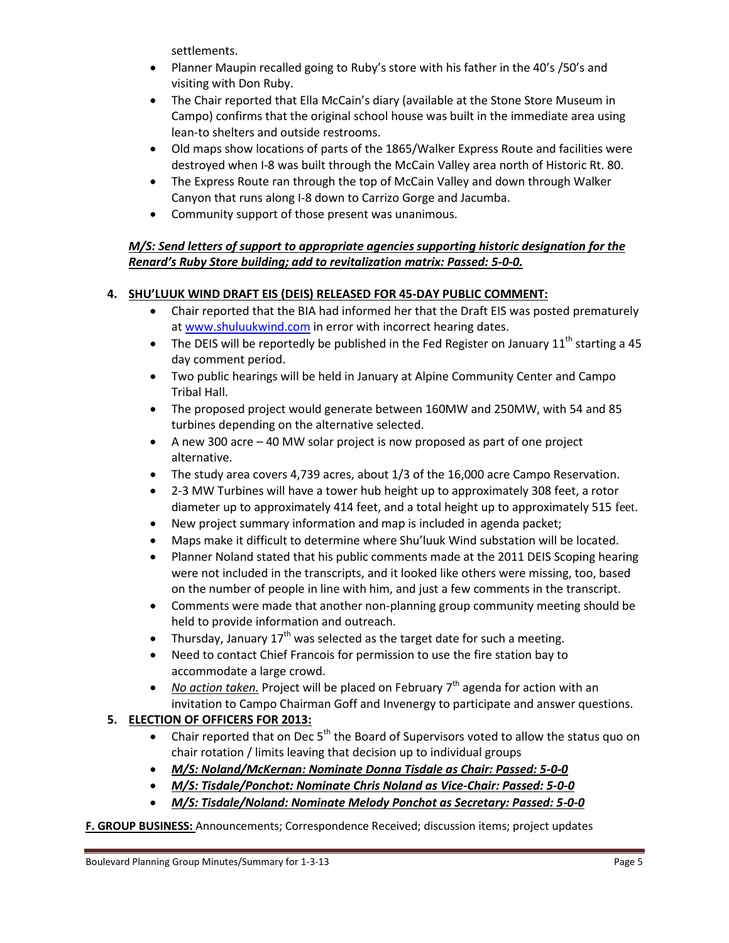settlements.

- Planner Maupin recalled going to Ruby's store with his father in the 40's /50's and visiting with Don Ruby.
- The Chair reported that Ella McCain's diary (available at the Stone Store Museum in Campo) confirms that the original school house was built in the immediate area using lean-to shelters and outside restrooms.
- Old maps show locations of parts of the 1865/Walker Express Route and facilities were destroyed when I-8 was built through the McCain Valley area north of Historic Rt. 80.
- The Express Route ran through the top of McCain Valley and down through Walker Canyon that runs along I-8 down to Carrizo Gorge and Jacumba.
- Community support of those present was unanimous.

## *M/S: Send letters of support to appropriate agencies supporting historic designation for the Renard's Ruby Store building; add to revitalization matrix: Passed: 5-0-0.*

# **4. SHU'LUUK WIND DRAFT EIS (DEIS) RELEASED FOR 45-DAY PUBLIC COMMENT:**

- Chair reported that the BIA had informed her that the Draft EIS was posted prematurely a[t www.shuluukwind.com](http://www.shuluukwind.com/) in error with incorrect hearing dates.
- The DEIS will be reportedly be published in the Fed Register on January  $11<sup>th</sup>$  starting a 45 day comment period.
- Two public hearings will be held in January at Alpine Community Center and Campo Tribal Hall.
- The proposed project would generate between 160MW and 250MW, with 54 and 85 turbines depending on the alternative selected.
- A new 300 acre 40 MW solar project is now proposed as part of one project alternative.
- The study area covers 4,739 acres, about 1/3 of the 16,000 acre Campo Reservation.
- 2-3 MW Turbines will have a tower hub height up to approximately 308 feet, a rotor diameter up to approximately 414 feet, and a total height up to approximately 515 feet.
- New project summary information and map is included in agenda packet;
- Maps make it difficult to determine where Shu'luuk Wind substation will be located.
- Planner Noland stated that his public comments made at the 2011 DEIS Scoping hearing were not included in the transcripts, and it looked like others were missing, too, based on the number of people in line with him, and just a few comments in the transcript.
- Comments were made that another non-planning group community meeting should be held to provide information and outreach.
- Thursday, January  $17<sup>th</sup>$  was selected as the target date for such a meeting.
- Need to contact Chief Francois for permission to use the fire station bay to accommodate a large crowd.
- No action taken. Project will be placed on February 7<sup>th</sup> agenda for action with an invitation to Campo Chairman Goff and Invenergy to participate and answer questions.

# **5. ELECTION OF OFFICERS FOR 2013:**

- **•** Chair reported that on Dec 5<sup>th</sup> the Board of Supervisors voted to allow the status quo on chair rotation / limits leaving that decision up to individual groups
- *M/S: Noland/McKernan: Nominate Donna Tisdale as Chair: Passed: 5-0-0*
- *M/S: Tisdale/Ponchot: Nominate Chris Noland as Vice-Chair: Passed: 5-0-0*
- *M/S: Tisdale/Noland: Nominate Melody Ponchot as Secretary: Passed: 5-0-0*

**F. GROUP BUSINESS:** Announcements; Correspondence Received; discussion items; project updates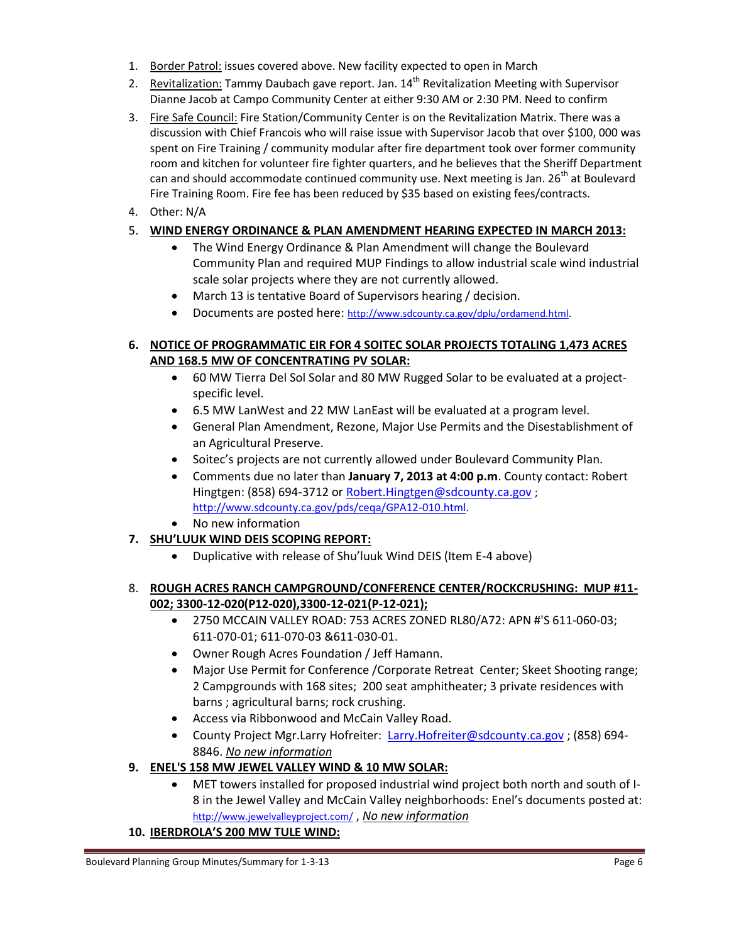- 1. Border Patrol: issues covered above. New facility expected to open in March
- 2. Revitalization: Tammy Daubach gave report. Jan. 14<sup>th</sup> Revitalization Meeting with Supervisor Dianne Jacob at Campo Community Center at either 9:30 AM or 2:30 PM. Need to confirm
- 3. Fire Safe Council: Fire Station/Community Center is on the Revitalization Matrix. There was a discussion with Chief Francois who will raise issue with Supervisor Jacob that over \$100, 000 was spent on Fire Training / community modular after fire department took over former community room and kitchen for volunteer fire fighter quarters, and he believes that the Sheriff Department can and should accommodate continued community use. Next meeting is Jan.  $26^{th}$  at Boulevard Fire Training Room. Fire fee has been reduced by \$35 based on existing fees/contracts.
- 4. Other: N/A

# 5. **WIND ENERGY ORDINANCE & PLAN AMENDMENT HEARING EXPECTED IN MARCH 2013:**

- The Wind Energy Ordinance & Plan Amendment will change the Boulevard Community Plan and required MUP Findings to allow industrial scale wind industrial scale solar projects where they are not currently allowed.
- March 13 is tentative Board of Supervisors hearing / decision.
- Documents are posted here: [http://www.sdcounty.ca.gov/dplu/ordamend.html.](http://www.sdcounty.ca.gov/dplu/ordamend.html)

## **6. NOTICE OF PROGRAMMATIC EIR FOR 4 SOITEC SOLAR PROJECTS TOTALING 1,473 ACRES AND 168.5 MW OF CONCENTRATING PV SOLAR:**

- 60 MW Tierra Del Sol Solar and 80 MW Rugged Solar to be evaluated at a projectspecific level.
- 6.5 MW LanWest and 22 MW LanEast will be evaluated at a program level.
- General Plan Amendment, Rezone, Major Use Permits and the Disestablishment of an Agricultural Preserve.
- Soitec's projects are not currently allowed under Boulevard Community Plan.
- Comments due no later than **January 7, 2013 at 4:00 p.m**. County contact: Robert Hingtgen: (858) 694-3712 or [Robert.Hingtgen@sdcounty.ca.gov](mailto:Robert.Hingtgen@sdcounty.ca.gov) ; [http://www.sdcounty.ca.gov/pds/ceqa/GPA12-010.html.](http://www.sdcounty.ca.gov/pds/ceqa/GPA12-010.html)
- No new information

# **7. SHU'LUUK WIND DEIS SCOPING REPORT:**

Duplicative with release of Shu'luuk Wind DEIS (Item E-4 above)

## 8. **ROUGH ACRES RANCH CAMPGROUND/CONFERENCE CENTER/ROCKCRUSHING: MUP #11- 002; 3300-12-020(P12-020),3300-12-021(P-12-021);**

- 2750 MCCAIN VALLEY ROAD: 753 ACRES ZONED RL80/A72: APN #'S 611-060-03; 611-070-01; 611-070-03 &611-030-01.
- Owner Rough Acres Foundation / Jeff Hamann.
- Major Use Permit for Conference /Corporate Retreat Center; Skeet Shooting range; 2 Campgrounds with 168 sites; 200 seat amphitheater; 3 private residences with barns ; agricultural barns; rock crushing.
- Access via Ribbonwood and McCain Valley Road.
- County Project Mgr.Larry Hofreiter: [Larry.Hofreiter@sdcounty.ca.gov](mailto:Larry.Hofreiter@sdcounty.ca.gov) ; (858) 694- 8846. *No new information*
- **9. ENEL'S 158 MW JEWEL VALLEY WIND & 10 MW SOLAR:** 
	- MET towers installed for proposed industrial wind project both north and south of I-8 in the Jewel Valley and McCain Valley neighborhoods: Enel's documents posted at: <http://www.jewelvalleyproject.com/> , *No new information*

## **10. IBERDROLA'S 200 MW TULE WIND:**